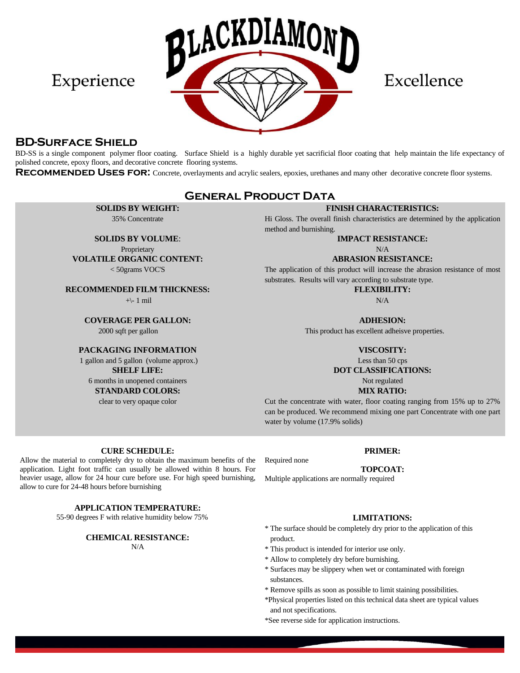

Excellence

### **BD-Surface Shield**

Experience

BD-SS is a single component polymer floor coating. Surface Shield is a highly durable yet sacrificial floor coating that help maintain the life expectancy of polished concrete, epoxy floors, and decorative concrete flooring systems.

**RECOMMENDED USES FOR:** Concrete, overlayments and acrylic sealers, epoxies, urethanes and many other decorative concrete floor systems.

## **General Product Data**

**SOLIDS BY WEIGHT:** 35% Concentrate

**SOLIDS BY VOLUME**:

Proprietary **VOLATILE ORGANIC CONTENT:** < 50grams VOC'S

**RECOMMENDED FILM THICKNESS:**

+\- 1 mil

**COVERAGE PER GALLON:**

2000 sqft per gallon

### **PACKAGING INFORMATION**

1 gallon and 5 gallon (volume approx.) **SHELF LIFE:** 6 months in unopened containers **STANDARD COLORS:**

clear to very opaque color

### **FINISH CHARACTERISTICS:**

Hi Gloss. The overall finish characteristics are determined by the application method and burnishing.

### **IMPACT RESISTANCE:**

N/A

#### **ABRASION RESISTANCE:**

The application of this product will increase the abrasion resistance of most substrates. Results will vary according to substrate type.

**FLEXIBILITY:**

N/A

**ADHESION:**

This product has excellent adheisve properties.

#### **VISCOSITY:**

Less than 50 cps

**DOT CLASSIFICATIONS:**

Not regulated **MIX RATIO:**

Cut the concentrate with water, floor coating ranging from 15% up to 27% can be produced. We recommend mixing one part Concentrate with one part water by volume (17.9% solids)

#### **CURE SCHEDULE: PRIMER:**

Allow the material to completely dry to obtain the maximum benefits of the application. Light foot traffic can usually be allowed within 8 hours. For heavier usage, allow for 24 hour cure before use. For high speed burnishing, allow to cure for 24-48 hours before burnishing

**APPLICATION TEMPERATURE:**

55-90 degrees F with relative humidity below 75% **LIMITATIONS:**

**CHEMICAL RESISTANCE:**  $N/A$ 

- \* The surface should be completely dry prior to the application of this product.
- \* This product is intended for interior use only.
- \* Allow to completely dry before burnishing.

Required none

- \* Surfaces may be slippery when wet or contaminated with foreign substances.
- \* Remove spills as soon as possible to limit staining possibilities.
- \*Physical properties listed on this technical data sheet are typical values and not specifications.

\*See reverse side for application instructions.

# **TOPCOAT:**

Multiple applications are normally required